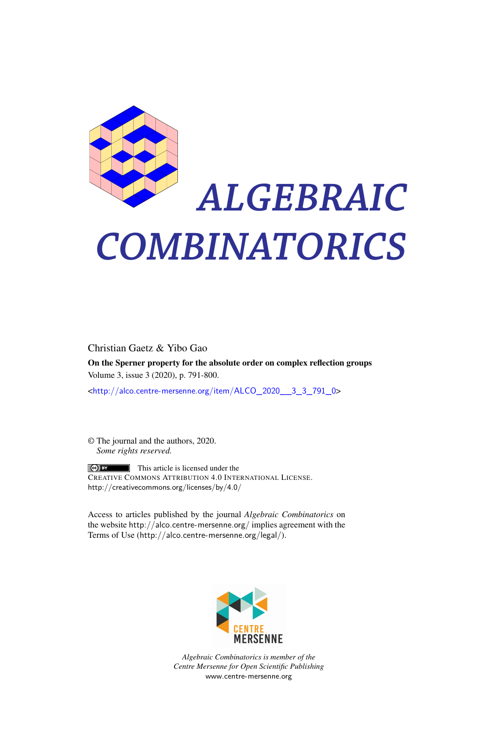

# *ALGEBRAIC COMBINATORICS*

Christian Gaetz & Yibo Gao

On the Sperner property for the absolute order on complex reflection groups Volume 3, issue 3 (2020), p. 791-800.

<[http://alco.centre-mersenne.org/item/ALCO\\_2020\\_\\_3\\_3\\_791\\_0](http://alco.centre-mersenne.org/item/ALCO_2020__3_3_791_0)>

© The journal and the authors, 2020. *Some rights reserved.*

**C** EX This article is licensed under the CREATIVE COMMONS ATTRIBUTION 4.0 INTERNATIONAL LICENSE. <http://creativecommons.org/licenses/by/4.0/>

Access to articles published by the journal *Algebraic Combinatorics* on the website <http://alco.centre-mersenne.org/> implies agreement with the Terms of Use (<http://alco.centre-mersenne.org/legal/>).



*Algebraic Combinatorics is member of the Centre Mersenne for Open Scientific Publishing* <www.centre-mersenne.org>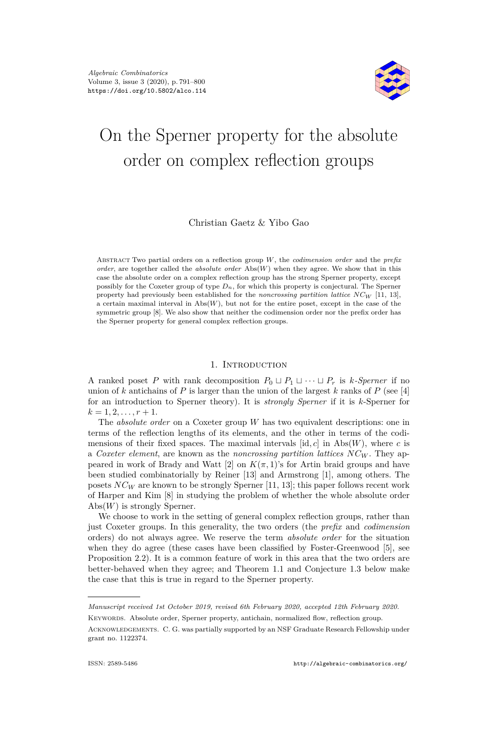

# On the Sperner property for the absolute order on complex reflection groups

# Christian Gaetz & Yibo Gao

Abstract Two partial orders on a reflection group *W*, the *codimension order* and the *prefix order*, are together called the *absolute order* Abs(*W*) when they agree. We show that in this case the absolute order on a complex reflection group has the strong Sperner property, except possibly for the Coxeter group of type *Dn*, for which this property is conjectural. The Sperner property had previously been established for the *noncrossing partition lattice NC<sup>W</sup>* [\[11,](#page-10-0) [13\]](#page-10-1), a certain maximal interval in  $\mathrm{Abs}(W)$ , but not for the entire poset, except in the case of the symmetric group [\[8\]](#page-10-2). We also show that neither the codimension order nor the prefix order has the Sperner property for general complex reflection groups.

#### 1. Introduction

A ranked poset *P* with rank decomposition  $P_0 \sqcup P_1 \sqcup \cdots \sqcup P_r$  is *k*-Sperner if no union of *k* antichains of *P* is larger than the union of the largest *k* ranks of *P* (see [\[4\]](#page-9-0) for an introduction to Sperner theory). It is *strongly Sperner* if it is *k*-Sperner for  $k = 1, 2, \ldots, r + 1.$ 

The *absolute order* on a Coxeter group *W* has two equivalent descriptions: one in terms of the reflection lengths of its elements, and the other in terms of the codimensions of their fixed spaces. The maximal intervals  $[\text{id}, c]$  in Abs $(W)$ , where *c* is a *Coxeter element*, are known as the *noncrossing partition lattices NC<sup>W</sup>* . They ap-peared in work of Brady and Watt [\[2\]](#page-9-1) on  $K(\pi, 1)$ 's for Artin braid groups and have been studied combinatorially by Reiner [\[13\]](#page-10-1) and Armstrong [\[1\]](#page-9-2), among others. The posets *NC<sup>W</sup>* are known to be strongly Sperner [\[11,](#page-10-0) [13\]](#page-10-1); this paper follows recent work of Harper and Kim [\[8\]](#page-10-2) in studying the problem of whether the whole absolute order Abs(*W*) is strongly Sperner.

We choose to work in the setting of general complex reflection groups, rather than just Coxeter groups. In this generality, the two orders (the *prefix* and *codimension* orders) do not always agree. We reserve the term *absolute order* for the situation when they do agree (these cases have been classified by Foster-Greenwood [\[5\]](#page-10-3), see Proposition [2.2\)](#page-3-0). It is a common feature of work in this area that the two orders are better-behaved when they agree; and Theorem [1.1](#page-2-0) and Conjecture [1.3](#page-2-1) below make the case that this is true in regard to the Sperner property.

*Manuscript received 1st October 2019, revised 6th February 2020, accepted 12th February 2020.* KEYWORDS. Absolute order, Sperner property, antichain, normalized flow, reflection group.

Acknowledgements. C. G. was partially supported by an NSF Graduate Research Fellowship under grant no. 1122374.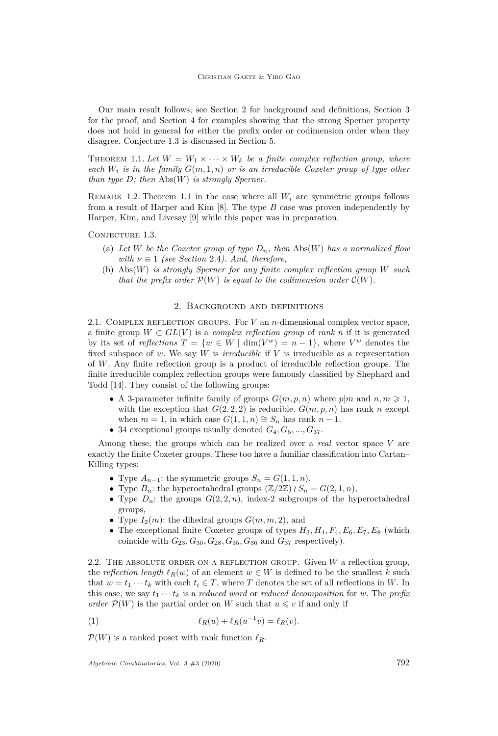Our main result follows; see Section [2](#page-2-2) for background and definitions, Section [3](#page-5-0) for the proof, and Section [4](#page-8-0) for examples showing that the strong Sperner property does not hold in general for either the prefix order or codimension order when they disagree. Conjecture [1.3](#page-2-1) is discussed in Section [5.](#page-8-1)

<span id="page-2-0"></span>THEOREM 1.1. Let  $W = W_1 \times \cdots \times W_k$  be a finite complex reflection group, where *each*  $W_i$  *is in the family*  $G(m, 1, n)$  *or is an irreducible Coxeter group of type other than type D; then* Abs(*W*) *is strongly Sperner.*

REMARK 1.2. Theorem [1.1](#page-2-0) in the case where all  $W_i$  are symmetric groups follows from a result of Harper and Kim [\[8\]](#page-10-2). The type *B* case was proven independently by Harper, Kim, and Livesay [\[9\]](#page-10-4) while this paper was in preparation.

<span id="page-2-1"></span>CONJECTURE 1.3.

- (a) Let *W* be the Coxeter group of type  $D_n$ , then  $\text{Abs}(W)$  has a normalized flow *with*  $\nu \equiv 1$  *(see Section [2.4](#page-4-0)). And, therefore,*
- (b) Abs(*W*) *is strongly Sperner for any finite complex reflection group W such that the prefix order*  $\mathcal{P}(W)$  *is equal to the codimension order*  $\mathcal{C}(W)$ *.*

#### 2. Background and definitions

<span id="page-2-2"></span>2.1. Complex reflection groups. For *V* an *n*-dimensional complex vector space, a finite group  $W \subset GL(V)$  is a *complex reflection group* of *rank n* if it is generated by its set of *reflections*  $T = \{w \in W \mid \dim(V^w) = n - 1\}$ , where  $V^w$  denotes the fixed subspace of *w*. We say *W* is *irreducible* if *V* is irreducible as a representation of *W*. Any finite reflection group is a product of irreducible reflection groups. The finite irreducible complex reflection groups were famously classified by Shephard and Todd [\[14\]](#page-10-5). They consist of the following groups:

- A 3-parameter infinite family of groups  $G(m, p, n)$  where  $p|m$  and  $n, m \geq 1$ , with the exception that  $G(2, 2, 2)$  is reducible.  $G(m, p, n)$  has rank *n* except when  $m = 1$ , in which case  $G(1, 1, n) \cong S_n$  has rank  $n - 1$ .
- 34 exceptional groups usually denoted  $G_4, G_5, ..., G_{37}$ .

Among these, the groups which can be realized over a *real* vector space *V* are exactly the finite Coxeter groups. These too have a familiar classification into Cartan– Killing types:

- Type  $A_{n-1}$ : the symmetric groups  $S_n = G(1, 1, n)$ ,
- Type  $B_n$ : the hyperoctahedral groups  $(\mathbb{Z}/2\mathbb{Z}) \wr S_n = G(2,1,n)$ ,
- Type  $D_n$ : the groups  $G(2, 2, n)$ , index-2 subgroups of the hyperoctahedral groups,
- Type  $I_2(m)$ : the dihedral groups  $G(m, m, 2)$ , and
- The exceptional finite Coxeter groups of types  $H_3, H_4, F_4, E_6, E_7, E_8$  (which coincide with  $G_{23}$ ,  $G_{30}$ ,  $G_{28}$ ,  $G_{35}$ ,  $G_{36}$  and  $G_{37}$  respectively).

2.2. The absolute order on a reflection group. Given *W* a reflection group, the *reflection length*  $\ell_R(w)$  of an element  $w \in W$  is defined to be the smallest *k* such that  $w = t_1 \cdots t_k$  with each  $t_i \in T$ , where *T* denotes the set of all reflections in *W*. In this case, we say  $t_1 \cdots t_k$  is a *reduced word* or *reduced decomposition* for *w*. The *prefix order*  $\mathcal{P}(W)$  is the partial order on *W* such that  $u \leq v$  if and only if

<span id="page-2-3"></span>(1) 
$$
\ell_R(u) + \ell_R(u^{-1}v) = \ell_R(v).
$$

 $\mathcal{P}(W)$  is a ranked poset with rank function  $\ell_R$ .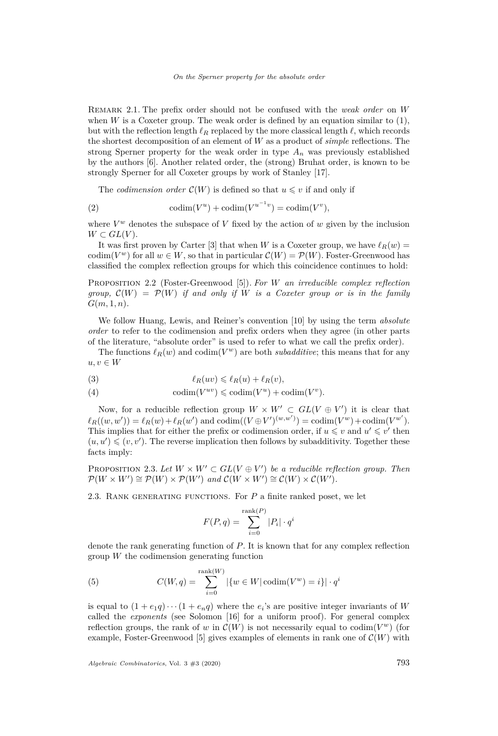Remark 2.1. The prefix order should not be confused with the *weak order* on *W* when *W* is a Coxeter group. The weak order is defined by an equation similar to  $(1)$ , but with the reflection length  $\ell_R$  replaced by the more classical length  $\ell$ , which records the shortest decomposition of an element of *W* as a product of *simple* reflections. The strong Sperner property for the weak order in type  $A_n$  was previously established by the authors [\[6\]](#page-10-6). Another related order, the (strong) Bruhat order, is known to be strongly Sperner for all Coxeter groups by work of Stanley [\[17\]](#page-10-7).

The *codimension order*  $\mathcal{C}(W)$  is defined so that  $u \leq v$  if and only if

(2) 
$$
\operatorname{codim}(V^u) + \operatorname{codim}(V^{u^{-1}v}) = \operatorname{codim}(V^v),
$$

where  $V^w$  denotes the subspace of  $V$  fixed by the action of  $w$  given by the inclusion  $W \subset GL(V)$ .

It was first proven by Carter [\[3\]](#page-9-3) that when *W* is a Coxeter group, we have  $\ell_R(w)$  = codim( $V^w$ ) for all  $w \in W$ , so that in particular  $\mathcal{C}(W) = \mathcal{P}(W)$ . Foster-Greenwood has classified the complex reflection groups for which this coincidence continues to hold:

<span id="page-3-0"></span>Proposition 2.2 (Foster-Greenwood [\[5\]](#page-10-3)). *For W an irreducible complex reflection group,*  $\mathcal{C}(W) = \mathcal{P}(W)$  *if and only if W is a Coxeter group or is in the family G*(*m,* 1*, n*)*.*

We follow Huang, Lewis, and Reiner's convention [\[10\]](#page-10-8) by using the term *absolute order* to refer to the codimension and prefix orders when they agree (in other parts of the literature, "absolute order" is used to refer to what we call the prefix order).

The functions  $\ell_R(w)$  and  $\text{codim}(V^w)$  are both *subadditive*; this means that for any  $u, v \in W$ 

(3) 
$$
\ell_R(uv) \leq \ell_R(u) + \ell_R(v),
$$

(4) 
$$
\operatorname{codim}(V^{uv}) \leqslant \operatorname{codim}(V^u) + \operatorname{codim}(V^v).
$$

Now, for a reducible reflection group  $W \times W' \subset GL(V \oplus V')$  it is clear that  $\ell_R((w, w')) = \ell_R(w) + \ell_R(w')$  and codim( $(V \oplus V')^{(w, w')}$ ) = codim( $V^w$ )+ codim( $V^w'$ ). This implies that for either the prefix or codimension order, if  $u \leq v$  and  $u' \leq v'$  then  $(u, u') \leqslant (v, v')$ . The reverse implication then follows by subadditivity. Together these facts imply:

<span id="page-3-1"></span>PROPOSITION 2.3. Let  $W \times W' \subset GL(V \oplus V')$  be a reducible reflection group. Then  $\mathcal{P}(W \times W') \cong \mathcal{P}(W) \times \mathcal{P}(W')$  and  $\mathcal{C}(W \times W') \cong \mathcal{C}(W) \times \mathcal{C}(W')$ .

2.3. Rank generating functions. For *P* a finite ranked poset, we let

$$
F(P,q) = \sum_{i=0}^{\text{rank}(P)} |P_i| \cdot q^i
$$

denote the rank generating function of *P*. It is known that for any complex reflection group *W* the codimension generating function

(5) 
$$
C(W, q) = \sum_{i=0}^{\text{rank}(W)} |\{w \in W | \operatorname{codim}(V^w) = i\}| \cdot q^i
$$

is equal to  $(1 + e_1q) \cdots (1 + e_nq)$  where the  $e_i$ 's are positive integer invariants of *W* called the *exponents* (see Solomon [\[16\]](#page-10-9) for a uniform proof). For general complex reflection groups, the rank of *w* in  $\mathcal{C}(W)$  is not necessarily equal to codim( $V^w$ ) (for example, Foster-Greenwood [\[5\]](#page-10-3) gives examples of elements in rank one of  $\mathcal{C}(W)$  with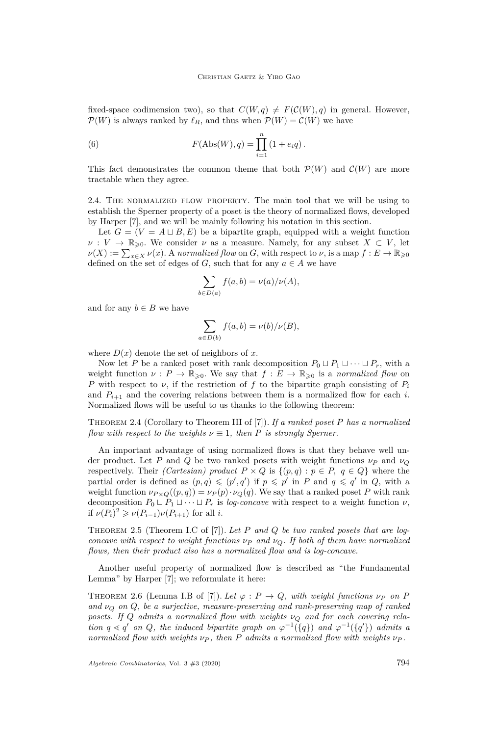fixed-space codimension two), so that  $C(W, q) \neq F(C(W), q)$  in general. However,  $P(W)$  is always ranked by  $\ell_R$ , and thus when  $P(W) = C(W)$  we have

<span id="page-4-4"></span>(6) 
$$
F(\text{Abs}(W), q) = \prod_{i=1}^{n} (1 + e_i q).
$$

This fact demonstrates the common theme that both  $\mathcal{P}(W)$  and  $\mathcal{C}(W)$  are more tractable when they agree.

<span id="page-4-0"></span>2.4. The normalized flow property. The main tool that we will be using to establish the Sperner property of a poset is the theory of normalized flows, developed by Harper [\[7\]](#page-10-10), and we will be mainly following his notation in this section.

Let  $G = (V = A \sqcup B, E)$  be a bipartite graph, equipped with a weight function  $\nu: V \to \mathbb{R}_{\geq 0}$ . We consider  $\nu$  as a measure. Namely, for any subset  $X \subset V$ , let  $\nu(X) := \sum_{x \in X} \nu(x)$ . A *normalized flow* on *G*, with respect to *ν*, is a map  $f: E \to \mathbb{R}_{\geqslant 0}$ defined on the set of edges of *G*, such that for any  $a \in A$  we have

$$
\sum_{b \in D(a)} f(a, b) = \nu(a)/\nu(A),
$$

and for any  $b \in B$  we have

$$
\sum_{a \in D(b)} f(a, b) = \nu(b) / \nu(B),
$$

where  $D(x)$  denote the set of neighbors of x.

Now let *P* be a ranked poset with rank decomposition  $P_0 \sqcup P_1 \sqcup \cdots \sqcup P_r$ , with a weight function  $\nu : P \to \mathbb{R}_{\geqslant 0}$ . We say that  $f : E \to \mathbb{R}_{\geqslant 0}$  is a *normalized flow* on *P* with respect to *ν*, if the restriction of *f* to the bipartite graph consisting of *P<sup>i</sup>* and  $P_{i+1}$  and the covering relations between them is a normalized flow for each *i*. Normalized flows will be useful to us thanks to the following theorem:

<span id="page-4-2"></span>Theorem 2.4 (Corollary to Theorem III of [\[7\]](#page-10-10)). *If a ranked poset P has a normalized flow with respect to the weights*  $\nu \equiv 1$ *, then P is strongly Sperner.* 

An important advantage of using normalized flows is that they behave well under product. Let *P* and *Q* be two ranked posets with weight functions *ν<sup>P</sup>* and *ν<sup>Q</sup>* respectively. Their *(Cartesian)* product  $P \times Q$  is  $\{(p,q) : p \in P, q \in Q\}$  where the partial order is defined as  $(p, q) \leqslant (p', q')$  if  $p \leqslant p'$  in *P* and  $q \leqslant q'$  in *Q*, with a weight function  $\nu_{P\times Q}((p,q)) = \nu_P(p) \cdot \nu_Q(q)$ . We say that a ranked poset P with rank decomposition  $P_0 \sqcup P_1 \sqcup \cdots \sqcup P_r$  is *log-concave* with respect to a weight function  $\nu$ , if  $\nu(P_i)^2 \geq \nu(P_{i-1})\nu(P_{i+1})$  for all *i*.

<span id="page-4-1"></span>Theorem 2.5 (Theorem I.C of [\[7\]](#page-10-10)). *Let P and Q be two ranked posets that are logconcave with respect to weight functions*  $\nu_P$  *and*  $\nu_Q$ *. If both of them have normalized flows, then their product also has a normalized flow and is log-concave.*

Another useful property of normalized flow is described as "the Fundamental Lemma" by Harper [\[7\]](#page-10-10); we reformulate it here:

<span id="page-4-3"></span>THEOREM 2.6 (Lemma I.B of [\[7\]](#page-10-10)). Let  $\varphi$  :  $P \to Q$ , with weight functions  $\nu_P$  on P *and ν<sup>Q</sup> on Q, be a surjective, measure-preserving and rank-preserving map of ranked posets. If Q admits a normalized flow with weights ν<sup>Q</sup> and for each covering relation*  $q \le q'$  *on Q*, the induced bipartite graph on  $\varphi^{-1}(\lbrace q \rbrace)$  and  $\varphi^{-1}(\lbrace q' \rbrace)$  admits a *normalized flow with weights ν<sup>P</sup> , then P admits a normalized flow with weights ν<sup>P</sup> .*

*Algebraic Combinatorics*, Vol. 3 #3 (2020) 794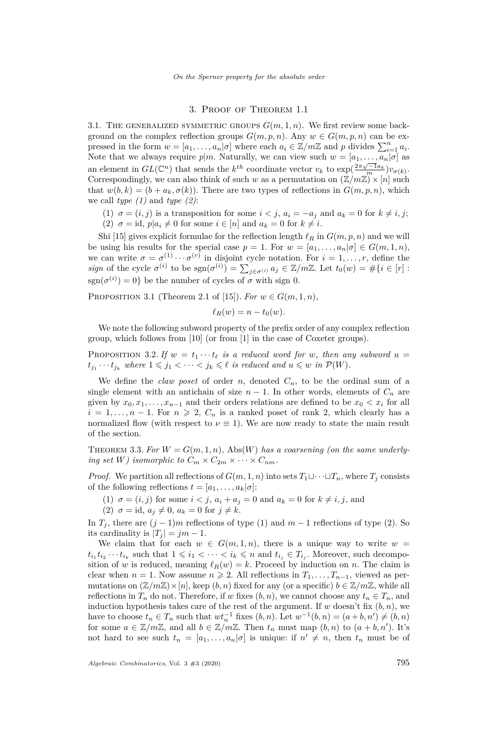# 3. Proof of Theorem [1.1](#page-2-0)

<span id="page-5-6"></span><span id="page-5-0"></span>3.1. THE GENERALIZED SYMMETRIC GROUPS  $G(m, 1, n)$ . We first review some background on the complex reflection groups  $G(m, p, n)$ . Any  $w \in G(m, p, n)$  can be expressed in the form  $w = [a_1, \ldots, a_n | \sigma]$  where each  $a_i \in \mathbb{Z}/m\mathbb{Z}$  and *p* divides  $\sum_{i=1}^n a_i$ . Note that we always require  $p|m$ . Naturally, we can view such  $w = [a_1, \ldots, a_n | \sigma]$  as an element in  $GL(\mathbb{C}^n)$  that sends the  $k^{th}$  coordinate vector  $v_k$  to  $\exp\left(\frac{2\pi\sqrt{-1}a_k}{m}\right)v_{\sigma(k)}$ . Correspondingly, we can also think of such *w* as a permutation on  $(\mathbb{Z}/m\mathbb{Z}) \times [n]$  such that  $w(b, k) = (b + a_k, \sigma(k))$ . There are two types of reflections in  $G(m, p, n)$ , which we call *type (1)* and *type (2)*:

(1)  $\sigma = (i, j)$  is a transposition for some  $i < j$ ,  $a_i = -a_j$  and  $a_k = 0$  for  $k \neq i, j$ ; (2)  $\sigma = id$ ,  $p|a_i \neq 0$  for some  $i \in [n]$  and  $a_k = 0$  for  $k \neq i$ .

<span id="page-5-7"></span>Shi [\[15\]](#page-10-11) gives explicit formulae for the reflection length  $\ell_R$  in  $G(m, p, n)$  and we will be using his results for the special case  $p = 1$ . For  $w = [a_1, \ldots, a_n | \sigma] \in G(m, 1, n)$ , we can write  $\sigma = \sigma^{(1)} \cdots \sigma^{(r)}$  in disjoint cycle notation. For  $i = 1, \ldots, r$ , define the *sign* of the cycle  $\sigma^{(i)}$  to be  $\text{sgn}(\sigma^{(i)}) = \sum_{j \in \sigma^{(i)}} a_j \in \mathbb{Z}/m\mathbb{Z}$ . Let  $t_0(w) = \#\{i \in [r]:$  $\text{sgn}(\sigma^{(i)}) = 0$  be the number of cycles of  $\sigma$  with sign 0.

<span id="page-5-3"></span>PROPOSITION 3.1 (Theorem 2.1 of [\[15\]](#page-10-11)). *For*  $w \in G(m, 1, n)$ ,

$$
\ell_R(w) = n - t_0(w).
$$

We note the following subword property of the prefix order of any complex reflection group, which follows from [\[10\]](#page-10-8) (or from [\[1\]](#page-9-2) in the case of Coxeter groups).

<span id="page-5-4"></span>PROPOSITION 3.2. If  $w = t_1 \cdots t_\ell$  is a reduced word for w, then any subword  $u =$  $t_{j_1} \cdots t_{j_k}$  *where*  $1 \leqslant j_1 < \cdots < j_k \leqslant \ell$  *is reduced and*  $u \leqslant w$  *in*  $\mathcal{P}(W)$ *.* 

We define the *claw poset* of order  $n$ , denoted  $C_n$ , to be the ordinal sum of a single element with an antichain of size  $n-1$ . In other words, elements of  $C_n$  are given by  $x_0, x_1, \ldots, x_{n-1}$  and their orders relations are defined to be  $x_0 < x_i$  for all  $i = 1, \ldots, n-1$ . For  $n \ge 2$ ,  $C_n$  is a ranked poset of rank 2, which clearly has a normalized flow (with respect to  $\nu \equiv 1$ ). We are now ready to state the main result of the section.

<span id="page-5-5"></span>THEOREM 3.3. For  $W = G(m, 1, n)$ , Abs(*W*) has a coarsening (on the same underly*ing set W) isomorphic to*  $C_m \times C_{2m} \times \cdots \times C_{nm}$ *.* 

*Proof.* We partition all reflections of  $G(m, 1, n)$  into sets  $T_1 \sqcup \cdots \sqcup T_n$ , where  $T_j$  consists of the following reflections  $t = [a_1, \ldots, a_k | \sigma]$ :

- <span id="page-5-1"></span>(1)  $\sigma = (i, j)$  for some  $i < j$ ,  $a_i + a_j = 0$  and  $a_k = 0$  for  $k \neq i, j$ , and
- $(2)$   $\sigma = id, a_j \neq 0, a_k = 0 \text{ for } j \neq k.$

<span id="page-5-2"></span>In  $T_j$ , there are  $(j-1)m$  reflections of type [\(1\)](#page-5-1) and  $m-1$  reflections of type [\(2\)](#page-5-2). So its cardinality is  $|T_j| = jm - 1$ .

We claim that for each  $w \in G(m,1,n)$ , there is a unique way to write  $w =$  $t_{i_1} t_{i_2} \cdots t_{i_k}$  such that  $1 \leq i_1 < \cdots < i_k \leq n$  and  $t_{i_j} \in T_{i_j}$ . Moreover, such decomposition of *w* is reduced, meaning  $\ell_R(w) = k$ . Proceed by induction on *n*. The claim is clear when  $n = 1$ . Now assume  $n \geq 2$ . All reflections in  $T_1, \ldots, T_{n-1}$ , viewed as permutations on  $(\mathbb{Z}/m\mathbb{Z})\times[n]$ , keep  $(b, n)$  fixed for any (or a specific)  $b \in \mathbb{Z}/m\mathbb{Z}$ , while all reflections in  $T_n$  do not. Therefore, if *w* fixes  $(b, n)$ , we cannot choose any  $t_n \in T_n$ , and induction hypothesis takes care of the rest of the argument. If  $w$  doesn't fix  $(b, n)$ , we have to choose  $t_n \in T_n$  such that  $wt_n^{-1}$  fixes  $(b, n)$ . Let  $w^{-1}(b, n) = (a + b, n') \neq (b, n)$ for some  $a \in \mathbb{Z}/m\mathbb{Z}$ , and all  $b \in \mathbb{Z}/m\mathbb{Z}$ . Then  $t_n$  must map  $(b, n)$  to  $(a + b, n')$ . It's not hard to see such  $t_n = [a_1, \ldots, a_n | \sigma]$  is unique: if  $n' \neq n$ , then  $t_n$  must be of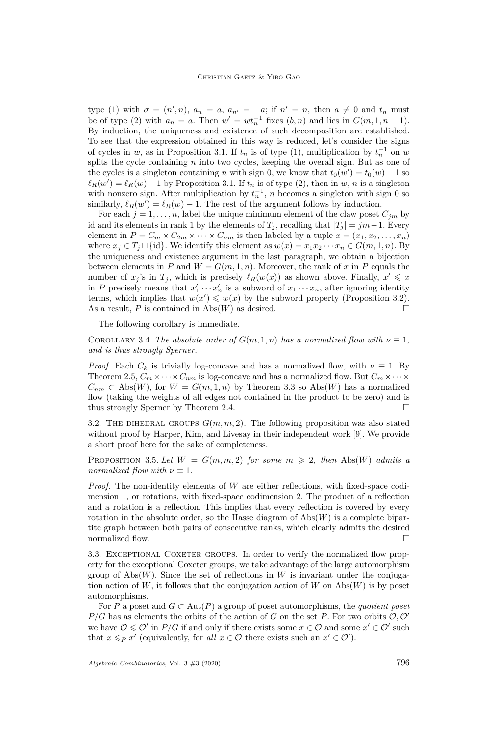type [\(1\)](#page-5-1) with  $\sigma = (n', n)$ ,  $a_n = a$ ,  $a_{n'} = -a$ ; if  $n' = n$ , then  $a \neq 0$  and  $t_n$  must be of type [\(2\)](#page-5-2) with  $a_n = a$ . Then  $w' = wt_n^{-1}$  fixes  $(b, n)$  and lies in  $G(m, 1, n - 1)$ . By induction, the uniqueness and existence of such decomposition are established. To see that the expression obtained in this way is reduced, let's consider the signs of cycles in *w*, as in Proposition [3.1.](#page-5-3) If  $t_n$  is of type [\(1\)](#page-5-1), multiplication by  $t_n^{-1}$  on *w* splits the cycle containing *n* into two cycles, keeping the overall sign. But as one of the cycles is a singleton containing *n* with sign 0, we know that  $t_0(w') = t_0(w) + 1$  so  $\ell_R(w') = \ell_R(w) - 1$  by Proposition [3.1.](#page-5-3) If  $t_n$  is of type [\(2\)](#page-5-2), then in *w*, *n* is a singleton with nonzero sign. After multiplication by  $t_n^{-1}$ , *n* becomes a singleton with sign 0 so similarly,  $\ell_R(w') = \ell_R(w) - 1$ . The rest of the argument follows by induction.

For each  $j = 1, \ldots, n$ , label the unique minimum element of the claw poset  $C_{jm}$  by id and its elements in rank 1 by the elements of  $T_j$ , recalling that  $|T_j| = jm-1$ . Every element in  $P = C_m \times C_{2m} \times \cdots \times C_{nm}$  is then labeled by a tuple  $x = (x_1, x_2, \ldots, x_n)$ where  $x_j \in T_j \sqcup \{id\}$ . We identify this element as  $w(x) = x_1 x_2 \cdots x_n \in G(m, 1, n)$ . By the uniqueness and existence argument in the last paragraph, we obtain a bijection between elements in *P* and  $W = G(m, 1, n)$ . Moreover, the rank of *x* in *P* equals the number of  $x_j$ 's in  $T_j$ , which is precisely  $\ell_R(w(x))$  as shown above. Finally,  $x' \leq x$ in *P* precisely means that  $x'_1 \cdots x'_n$  is a subword of  $x_1 \cdots x_n$ , after ignoring identity terms, which implies that  $w(x') \leq w(x)$  by the subword property (Proposition [3.2\)](#page-5-4). As a result, *P* is contained in Abs(*W*) as desired.

The following corollary is immediate.

<span id="page-6-0"></span>COROLLARY 3.4. *The absolute order of*  $G(m, 1, n)$  *has a normalized flow with*  $\nu \equiv 1$ *, and is thus strongly Sperner.*

*Proof.* Each  $C_k$  is trivially log-concave and has a normalized flow, with  $\nu \equiv 1$ . By Theorem [2.5,](#page-4-1)  $C_m \times \cdots \times C_{nm}$  is log-concave and has a normalized flow. But  $C_m \times \cdots \times C_{nm}$  $C_{nm} \subset \text{Abs}(W)$ , for  $W = G(m, 1, n)$  by Theorem [3.3](#page-5-5) so Abs(*W*) has a normalized flow (taking the weights of all edges not contained in the product to be zero) and is thus strongly Sperner by Theorem [2.4.](#page-4-2) □

3.2. The DIHEDRAL GROUPS  $G(m, m, 2)$ . The following proposition was also stated without proof by Harper, Kim, and Livesay in their independent work [\[9\]](#page-10-4). We provide a short proof here for the sake of completeness.

<span id="page-6-1"></span>PROPOSITION 3.5. Let  $W = G(m, m, 2)$  for some  $m \ge 2$ , then Abs(W) admits a *normalized flow with*  $\nu \equiv 1$ *.* 

*Proof.* The non-identity elements of *W* are either reflections, with fixed-space codimension 1, or rotations, with fixed-space codimension 2. The product of a reflection and a rotation is a reflection. This implies that every reflection is covered by every rotation in the absolute order, so the Hasse diagram of  $\text{Abs}(W)$  is a complete bipartite graph between both pairs of consecutive ranks, which clearly admits the desired normalized flow.  $\Box$ 

3.3. EXCEPTIONAL COXETER GROUPS. In order to verify the normalized flow property for the exceptional Coxeter groups, we take advantage of the large automorphism group of  $\text{Abs}(W)$ . Since the set of reflections in W is invariant under the conjugation action of *W*, it follows that the conjugation action of *W* on Abs(*W*) is by poset automorphisms.

For *P* a poset and  $G \subset Aut(P)$  a group of poset automorphisms, the *quotient poset*  $P/G$  has as elements the orbits of the action of *G* on the set *P*. For two orbits  $O, O'$ we have  $\mathcal{O} \leq \mathcal{O}'$  in *P/G* if and only if there exists some  $x \in \mathcal{O}$  and some  $x' \in \mathcal{O}'$  such that  $x \leq_P x'$  (equivalently, for *all*  $x \in \mathcal{O}$  there exists such an  $x' \in \mathcal{O}'$ ).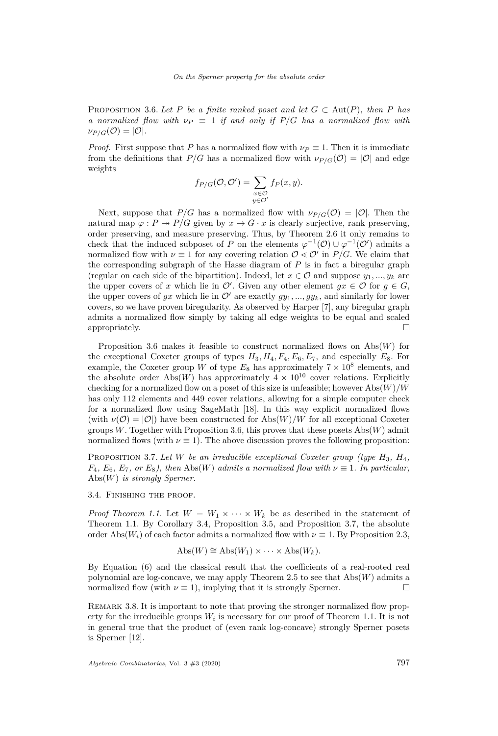<span id="page-7-0"></span>PROPOSITION 3.6. Let P be a finite ranked poset and let  $G \subset \text{Aut}(P)$ , then P has *a normalized flow with*  $\nu_P \equiv 1$  *if and only if*  $P/G$  *has a normalized flow with*  $\nu_{P/G}(\mathcal{O}) = |\mathcal{O}|.$ 

*Proof.* First suppose that *P* has a normalized flow with  $\nu_P \equiv 1$ . Then it is immediate from the definitions that  $P/G$  has a normalized flow with  $\nu_{P/G}(O) = |O|$  and edge weights

$$
f_{P/G}(\mathcal{O}, \mathcal{O}') = \sum_{\substack{x \in \mathcal{O} \\ y \in \mathcal{O}'}} f_P(x, y).
$$

Next, suppose that  $P/G$  has a normalized flow with  $\nu_{P/G}(\mathcal{O}) = |\mathcal{O}|$ . Then the natural map  $\varphi : P \to P/G$  given by  $x \mapsto G \cdot x$  is clearly surjective, rank preserving, order preserving, and measure preserving. Thus, by Theorem [2.6](#page-4-3) it only remains to check that the induced subposet of *P* on the elements  $\varphi^{-1}(\mathcal{O}) \cup \varphi^{-1}(\mathcal{O}')$  admits a normalized flow with  $\nu \equiv 1$  for any covering relation  $\mathcal{O} \ll \mathcal{O}'$  in *P/G*. We claim that the corresponding subgraph of the Hasse diagram of *P* is in fact a biregular graph (regular on each side of the bipartition). Indeed, let  $x \in \mathcal{O}$  and suppose  $y_1, ..., y_k$  are the upper covers of *x* which lie in  $\mathcal{O}'$ . Given any other element  $gx \in \mathcal{O}$  for  $g \in G$ , the upper covers of *gx* which lie in  $\mathcal{O}'$  are exactly  $q y_1, ..., q y_k$ , and similarly for lower covers, so we have proven biregularity. As observed by Harper [\[7\]](#page-10-10), any biregular graph admits a normalized flow simply by taking all edge weights to be equal and scaled appropriately.  $\Box$ 

Proposition [3.6](#page-7-0) makes it feasible to construct normalized flows on Abs(*W*) for the exceptional Coxeter groups of types  $H_3, H_4, F_4, E_6, E_7$ , and especially  $E_8$ . For example, the Coxeter group *W* of type  $E_8$  has approximately  $7 \times 10^8$  elements, and the absolute order Abs $(W)$  has approximately  $4 \times 10^{10}$  cover relations. Explicitly checking for a normalized flow on a poset of this size is unfeasible; however Abs(*W*)*/W* has only 112 elements and 449 cover relations, allowing for a simple computer check for a normalized flow using SageMath [\[18\]](#page-10-12). In this way explicit normalized flows (with  $\nu(\mathcal{O}) = |\mathcal{O}|$ ) have been constructed for Abs(*W*)/*W* for all exceptional Coxeter groups *W*. Together with Proposition [3.6,](#page-7-0) this proves that these posets Abs(*W*) admit normalized flows (with  $\nu \equiv 1$ ). The above discussion proves the following proposition:

<span id="page-7-1"></span>Proposition 3.7. *Let W be an irreducible exceptional Coxeter group (type H*3*, H*4*,*  $F_4, E_6, E_7,$  *or*  $E_8$ *), then* Abs(*W*) *admits a normalized flow with*  $\nu \equiv 1$ *. In particular,* Abs(*W*) *is strongly Sperner.*

3.4. Finishing the proof.

*Proof Theorem [1.1.](#page-2-0)* Let  $W = W_1 \times \cdots \times W_k$  be as described in the statement of Theorem [1.1.](#page-2-0) By Corollary [3.4,](#page-6-0) Proposition [3.5,](#page-6-1) and Proposition [3.7,](#page-7-1) the absolute order Abs( $W_i$ ) of each factor admits a normalized flow with  $\nu \equiv 1$ . By Proposition [2.3,](#page-3-1)

$$
Abs(W) \cong Abs(W_1) \times \cdots \times Abs(W_k).
$$

By Equation [\(6\)](#page-4-4) and the classical result that the coefficients of a real-rooted real polynomial are log-concave, we may apply Theorem [2.5](#page-4-1) to see that  $\mathrm{Abs}(W)$  admits a normalized flow (with  $\nu \equiv 1$ ), implying that it is strongly Sperner.

REMARK 3.8. It is important to note that proving the stronger normalized flow property for the irreducible groups *W<sup>i</sup>* is necessary for our proof of Theorem [1.1.](#page-2-0) It is not in general true that the product of (even rank log-concave) strongly Sperner posets is Sperner [\[12\]](#page-10-13).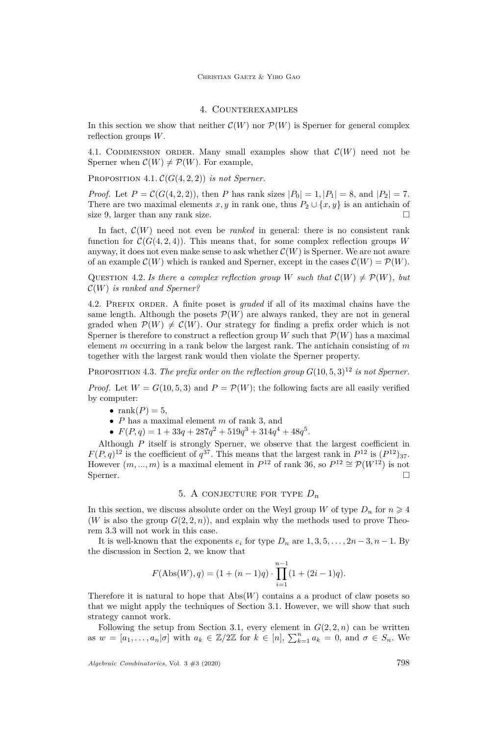# 4. Counterexamples

<span id="page-8-0"></span>In this section we show that neither  $\mathcal{C}(W)$  nor  $\mathcal{P}(W)$  is Sperner for general complex reflection groups *W*.

4.1. CODIMENSION ORDER. Many small examples show that  $\mathcal{C}(W)$  need not be Sperner when  $\mathcal{C}(W) \neq \mathcal{P}(W)$ . For example,

PROPOSITION 4.1.  $\mathcal{C}(G(4,2,2))$  *is not Sperner.* 

*Proof.* Let  $P = C(G(4, 2, 2))$ , then *P* has rank sizes  $|P_0| = 1, |P_1| = 8$ , and  $|P_2| = 7$ . There are two maximal elements *x*, *y* in rank one, thus  $P_2 \cup \{x, y\}$  is an antichain of size 9, larger than any rank size.  $\square$ 

In fact,  $C(W)$  need not even be *ranked* in general: there is no consistent rank function for  $\mathcal{C}(G(4, 2, 4))$ . This means that, for some complex reflection groups *W* anyway, it does not even make sense to ask whether  $\mathcal{C}(W)$  is Sperner. We are not aware of an example  $\mathcal{C}(W)$  which is ranked and Sperner, except in the cases  $\mathcal{C}(W) = \mathcal{P}(W)$ .

QUESTION 4.2. *Is there a complex reflection group W* such that  $\mathcal{C}(W) \neq \mathcal{P}(W)$ , but C(*W*) *is ranked and Sperner?*

4.2. Prefix order. A finite poset is *graded* if all of its maximal chains have the same length. Although the posets  $\mathcal{P}(W)$  are always ranked, they are not in general graded when  $\mathcal{P}(W) \neq \mathcal{C}(W)$ . Our strategy for finding a prefix order which is not Sperner is therefore to construct a reflection group *W* such that  $\mathcal{P}(W)$  has a maximal element *m* occurring in a rank below the largest rank. The antichain consisting of *m* together with the largest rank would then violate the Sperner property.

PROPOSITION 4.3. *The prefix order on the reflection group*  $G(10, 5, 3)^{12}$  *is not Sperner.* 

*Proof.* Let  $W = G(10, 5, 3)$  and  $P = P(W)$ ; the following facts are all easily verified by computer:

- $rank(P) = 5$ ,
- *P* has a maximal element *m* of rank 3, and
- $F(P,q) = 1 + 33q + 287q^2 + 519q^3 + 314q^4 + 48q^5$ .

Although *P* itself is strongly Sperner, we observe that the largest coefficient in  $F(P,q)^{12}$  is the coefficient of  $q^{37}$ . This means that the largest rank in  $P^{12}$  is  $(P^{12})_{37}$ . However  $(m, ..., m)$  is a maximal element in  $P^{12}$  of rank 36, so  $P^{12} \cong \mathcal{P}(W^{12})$  is not Sperner.  $\Box$ 

# 5. A CONJECTURE FOR TYPE  $D_n$

<span id="page-8-1"></span>In this section, we discuss absolute order on the Weyl group *W* of type  $D_n$  for  $n \geq 4$ (*W* is also the group  $G(2, 2, n)$ ), and explain why the methods used to prove Theorem [3.3](#page-5-5) will not work in this case.

It is well-known that the exponents  $e_i$  for type  $D_n$  are  $1, 3, 5, \ldots, 2n-3, n-1$ . By the discussion in Section [2,](#page-2-2) we know that

$$
F(\text{Abs}(W), q) = (1 + (n - 1)q) \cdot \prod_{i=1}^{n-1} (1 + (2i - 1)q).
$$

Therefore it is natural to hope that  $\mathrm{Abs}(W)$  contains a a product of claw posets so that we might apply the techniques of Section [3.1.](#page-5-6) However, we will show that such strategy cannot work.

Following the setup from Section [3.1,](#page-5-6) every element in  $G(2, 2, n)$  can be written as  $w = [a_1, \ldots, a_n | \sigma]$  with  $a_k \in \mathbb{Z}/2\mathbb{Z}$  for  $k \in [n]$ ,  $\sum_{k=1}^n a_k = 0$ , and  $\sigma \in S_n$ . We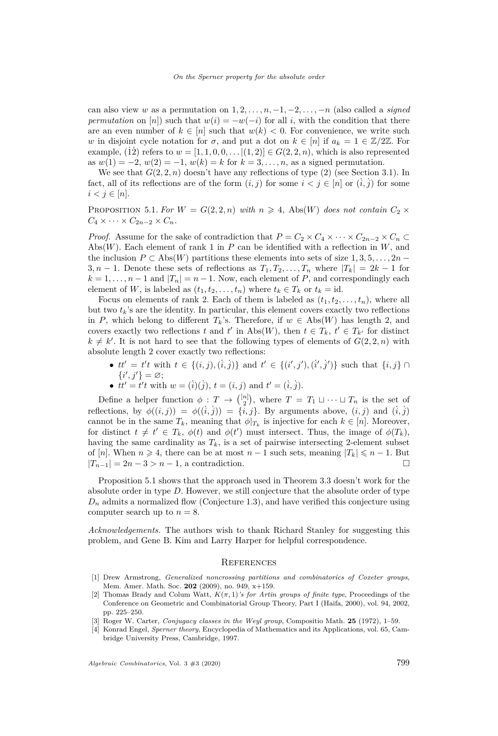can also view *w* as a permutation on  $1, 2, \ldots, n, -1, -2, \ldots, -n$  (also called a *signed permutation* on [*n*]) such that  $w(i) = -w(-i)$  for all *i*, with the condition that there are an even number of  $k \in [n]$  such that  $w(k) < 0$ . For convenience, we write such *w* in disjoint cycle notation for *σ*, and put a dot on  $k \in [n]$  if  $a_k = 1 \in \mathbb{Z}/2\mathbb{Z}$ . For example, (12) refers to  $w = [1, 1, 0, 0, \ldots]$   $(1, 2)$   $\in G(2, 2, n)$ , which is also represented as  $w(1) = -2$ ,  $w(2) = -1$ ,  $w(k) = k$  for  $k = 3, ..., n$ , as a signed permutation.

We see that  $G(2, 2, n)$  doesn't have any reflections of type  $(2)$  (see Section [3.1\)](#page-5-6). In fact, all of its reflections are of the form  $(i, j)$  for some  $i < j \in [n]$  or  $(i, j)$  for some  $i < j \in [n]$ .

<span id="page-9-4"></span>PROPOSITION 5.1. For  $W = G(2, 2, n)$  with  $n \geq 4$ , Abs(*W*) does not contain  $C_2 \times$  $C_4 \times \cdots \times C_{2n-2} \times C_n$ .

*Proof.* Assume for the sake of contradiction that  $P = C_2 \times C_4 \times \cdots \times C_{2n-2} \times C_n \subset$ Abs(*W*). Each element of rank 1 in *P* can be identified with a reflection in *W*, and the inclusion  $P \subset \text{Abs}(W)$  partitions these elements into sets of size 1, 3, 5, . . . , 2*n* − 3, *n* − 1. Denote these sets of reflections as  $T_1, T_2, \ldots, T_n$  where  $|T_k| = 2k - 1$  for  $k = 1, \ldots, n - 1$  and  $|T_n| = n - 1$ . Now, each element of  $P$ , and correspondingly each element of *W*, is labeled as  $(t_1, t_2, \ldots, t_n)$  where  $t_k \in T_k$  or  $t_k = id$ .

Focus on elements of rank 2. Each of them is labeled as  $(t_1, t_2, \ldots, t_n)$ , where all but two  $t_k$ 's are the identity. In particular, this element covers exactly two reflections in *P*, which belong to different  $T_k$ 's. Therefore, if  $w \in \text{Abs}(W)$  has length 2, and covers exactly two reflections *t* and *t'* in Abs(*W*), then  $t \in T_k$ ,  $t' \in T_{k'}$  for distinct  $k \neq k'$ . It is not hard to see that the following types of elements of  $G(2, 2, n)$  with absolute length 2 cover exactly two reflections:

- $tt' = t't$  with  $t \in \{(i, j), (i, j)\}\$  and  $t' \in \{(i', j'), (i', j')\}\$  such that  $\{i, j\} \cap$  $\{i',j'\} = \varnothing;$
- $tt' = t't$  with  $w = (i)(j), t = (i, j)$  and  $t' = (i, j)$ .

Define a helper function  $\phi: T \to \binom{[n]}{2}$ , where  $T = T_1 \sqcup \cdots \sqcup T_n$  is the set of reflections, by  $\phi((i, j)) = \phi((i, j)) = \{i, j\}$ . By arguments above,  $(i, j)$  and  $(i, j)$ cannot be in the same  $T_k$ , meaning that  $\phi|_{T_k}$  is injective for each  $k \in [n]$ . Moreover, for distinct  $t \neq t' \in T_k$ ,  $\phi(t)$  and  $\phi(t')$  must intersect. Thus, the image of  $\phi(T_k)$ , having the same cardinality as  $T_k$ , is a set of pairwise intersecting 2-element subset of [*n*]. When  $n \ge 4$ , there can be at most  $n-1$  such sets, meaning  $|T_k| \le n-1$ . But  $|T_{n-1}| = 2n - 3 > n - 1$ , a contradiction. □

Proposition [5.1](#page-9-4) shows that the approach used in Theorem [3.3](#page-5-5) doesn't work for the absolute order in type *D*. However, we still conjecture that the absolute order of type  $D_n$  admits a normalized flow (Conjecture [1.3\)](#page-2-1), and have verified this conjecture using computer search up to  $n = 8$ .

*Acknowledgements.* The authors wish to thank Richard Stanley for suggesting this problem, and Gene B. Kim and Larry Harper for helpful correspondence.

#### **REFERENCES**

- <span id="page-9-2"></span>[1] Drew Armstrong, *Generalized noncrossing partitions and combinatorics of Coxeter groups*, Mem. Amer. Math. Soc. **202** (2009), no. 949, x+159.
- <span id="page-9-1"></span>[2] Thomas Brady and Colum Watt,  $K(\pi, 1)$ *'s for Artin groups of finite type*, Proceedings of the Conference on Geometric and Combinatorial Group Theory, Part I (Haifa, 2000), vol. 94, 2002, pp. 225–250.
- <span id="page-9-3"></span>[3] Roger W. Carter, *Conjugacy classes in the Weyl group*, Compositio Math. **25** (1972), 1–59.
- <span id="page-9-0"></span>[4] Konrad Engel, *Sperner theory*, Encyclopedia of Mathematics and its Applications, vol. 65, Cambridge University Press, Cambridge, 1997.